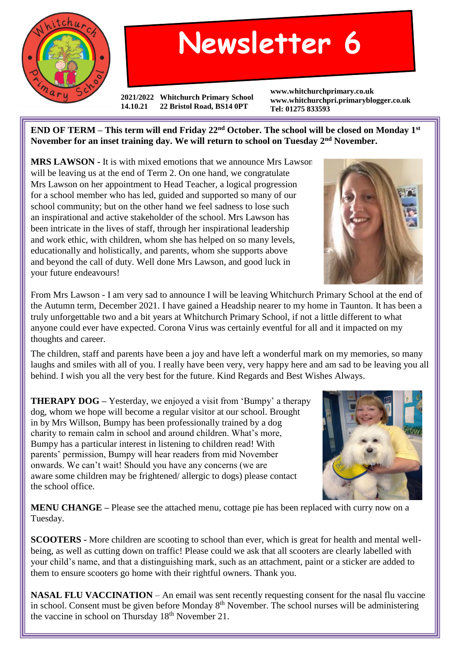

## **Newsletter 6**

**2021/2022 Whitchurch Primary School 14.10.21 22 Bristol Road, BS14 0PT**

**www.whitchurchprimary.co.uk www.whitchurchpri.primaryblogger.co.uk Tel: 01275 833593**

**END OF TERM – This term will end Friday 22nd October. The school will be closed on Monday 1st November for an inset training day. We will return to school on Tuesday 2nd November.**

**MRS LAWSON -** It is with mixed emotions that we announce Mrs Lawson will be leaving us at the end of Term 2. On one hand, we congratulate Mrs Lawson on her appointment to Head Teacher, a logical progression for a school member who has led, guided and supported so many of our school community; but on the other hand we feel sadness to lose such an inspirational and active stakeholder of the school. Mrs Lawson has been intricate in the lives of staff, through her inspirational leadership and work ethic, with children, whom she has helped on so many levels, educationally and holistically, and parents, whom she supports above and beyond the call of duty. Well done Mrs Lawson, and good luck in your future endeavours!

From Mrs Lawson - I am very sad to announce I will be leaving Whitchurch Primary School at the end of the Autumn term, December 2021. I have gained a Headship nearer to my home in Taunton. It has been a truly unforgettable two and a bit years at Whitchurch Primary School, if not a little different to what anyone could ever have expected. Corona Virus was certainly eventful for all and it impacted on my thoughts and career.

The children, staff and parents have been a joy and have left a wonderful mark on my memories, so many laughs and smiles with all of you. I really have been very, very happy here and am sad to be leaving you all behind. I wish you all the very best for the future. Kind Regards and Best Wishes Always.

**THERAPY DOG** – Yesterday, we enjoyed a visit from 'Bumpy' a therapy dog, whom we hope will become a regular visitor at our school. Brought in by Mrs Willson, Bumpy has been professionally trained by a dog charity to remain calm in school and around children. What's more, Bumpy has a particular interest in listening to children read! With parents' permission, Bumpy will hear readers from mid November onwards. We can't wait! Should you have any concerns (we are aware some children may be frightened/ allergic to dogs) please contact the school office.



**MENU CHANGE –** Please see the attached menu, cottage pie has been replaced with curry now on a Tuesday.

**SCOOTERS -** More children are scooting to school than ever, which is great for health and mental wellbeing, as well as cutting down on traffic! Please could we ask that all scooters are clearly labelled with your child's name, and that a distinguishing mark, such as an attachment, paint or a sticker are added to them to ensure scooters go home with their rightful owners. Thank you.

**NASAL FLU VACCINATION** – An email was sent recently requesting consent for the nasal flu vaccine in school. Consent must be given before Monday 8<sup>th</sup> November. The school nurses will be administering the vaccine in school on Thursday 18<sup>th</sup> November 21.

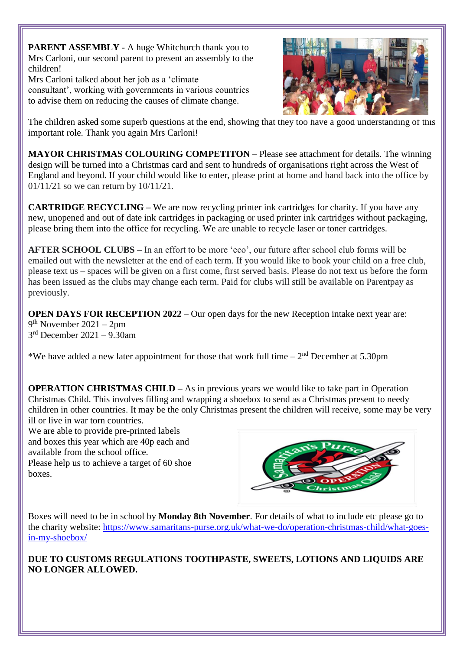**PARENT ASSEMBLY -** A huge Whitchurch thank you to Mrs Carloni, our second parent to present an assembly to the children!

Mrs Carloni talked about her job as a 'climate consultant', working with governments in various countries to advise them on reducing the causes of climate change.



The children asked some superb questions at the end, showing that they too have a good understanding of this important role. Thank you again Mrs Carloni!

**MAYOR CHRISTMAS COLOURING COMPETITON –** Please see attachment for details. The winning design will be turned into a Christmas card and sent to hundreds of organisations right across the West of England and beyond. If your child would like to enter, please print at home and hand back into the office by 01/11/21 so we can return by 10/11/21.

**CARTRIDGE RECYCLING** – We are now recycling printer ink cartridges for charity. If you have any new, unopened and out of date ink cartridges in packaging or used printer ink cartridges without packaging, please bring them into the office for recycling. We are unable to recycle laser or toner cartridges.

**AFTER SCHOOL CLUBS –** In an effort to be more 'eco', our future after school club forms will be emailed out with the newsletter at the end of each term. If you would like to book your child on a free club, please text us – spaces will be given on a first come, first served basis. Please do not text us before the form has been issued as the clubs may change each term. Paid for clubs will still be available on Parentpay as previously.

**OPEN DAYS FOR RECEPTION 2022** – Our open days for the new Reception intake next year are: 9 th November 2021 – 2pm 3 rd December 2021 – 9.30am

\*We have added a new later appointment for those that work full time  $-2<sup>nd</sup>$  December at 5.30pm

**OPERATION CHRISTMAS CHILD –** As in previous years we would like to take part in Operation Christmas Child. This involves filling and wrapping a shoebox to send as a Christmas present to needy children in other countries. It may be the only Christmas present the children will receive, some may be very ill or live in war torn countries.

We are able to provide pre-printed labels and boxes this year which are 40p each and available from the school office. Please help us to achieve a target of 60 shoe boxes.



Boxes will need to be in school by **Monday 8th November**. For details of what to include etc please go to the charity website: [https://www.samaritans-purse.org.uk/what-we-do/operation-christmas-child/what-goes](https://www.samaritans-purse.org.uk/what-we-do/operation-christmas-child/what-goes-in-my-shoebox/)[in-my-shoebox/](https://www.samaritans-purse.org.uk/what-we-do/operation-christmas-child/what-goes-in-my-shoebox/)

**DUE TO CUSTOMS REGULATIONS TOOTHPASTE, SWEETS, LOTIONS AND LIQUIDS ARE NO LONGER ALLOWED.**